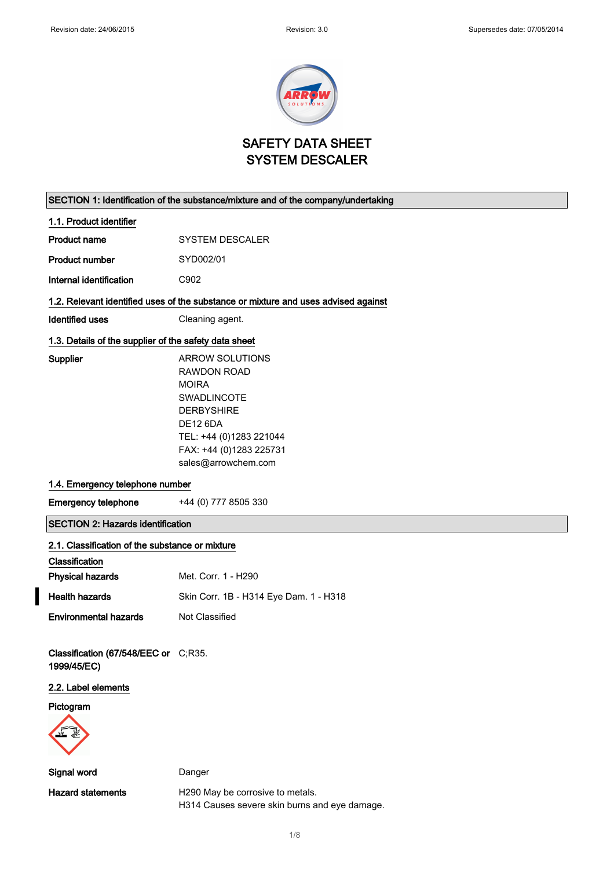

SAFETY DATA SHEET SYSTEM DESCALER

# SECTION 1: Identification of the substance/mixture and of the company/undertaking

| 1.1. Product identifier                               |                                                                                    |
|-------------------------------------------------------|------------------------------------------------------------------------------------|
| Product name                                          | <b>SYSTEM DESCALER</b>                                                             |
| <b>Product number</b>                                 | SYD002/01                                                                          |
| Internal identification                               | C902                                                                               |
|                                                       | 1.2. Relevant identified uses of the substance or mixture and uses advised against |
| Identified uses                                       | Cleaning agent.                                                                    |
| 1.3. Details of the supplier of the safety data sheet |                                                                                    |
| Supplier                                              | ARROW SOLUTIONS                                                                    |
|                                                       | RAWDON ROAD                                                                        |
|                                                       | <b>MOIRA</b>                                                                       |
|                                                       |                                                                                    |

| RAWDON ROAD             |
|-------------------------|
| MOIRA                   |
| SWADLINCOTE             |
| DERBYSHIRE              |
| DE12 6DA                |
| TEL: +44 (0)1283 221044 |
| FAX: +44 (0)1283 225731 |
| sales@arrowchem.com     |
|                         |

#### 1.4. Emergency telephone number

Emergency telephone +44 (0) 777 8505 330

# SECTION 2: Hazards identification

#### 2.1. Classification of the substance or mixture

| Classification               |                                        |
|------------------------------|----------------------------------------|
| <b>Physical hazards</b>      | Met. Corr. 1 - H290                    |
| <b>Health hazards</b>        | Skin Corr. 1B - H314 Eye Dam. 1 - H318 |
| <b>Environmental hazards</b> | Not Classified                         |

Classification (67/548/EEC or C;R35. 1999/45/EC)

# 2.2. Label elements

Pictogram



Signal word Danger

Hazard statements **H290 May be corrosive to metals.** H314 Causes severe skin burns and eye damage.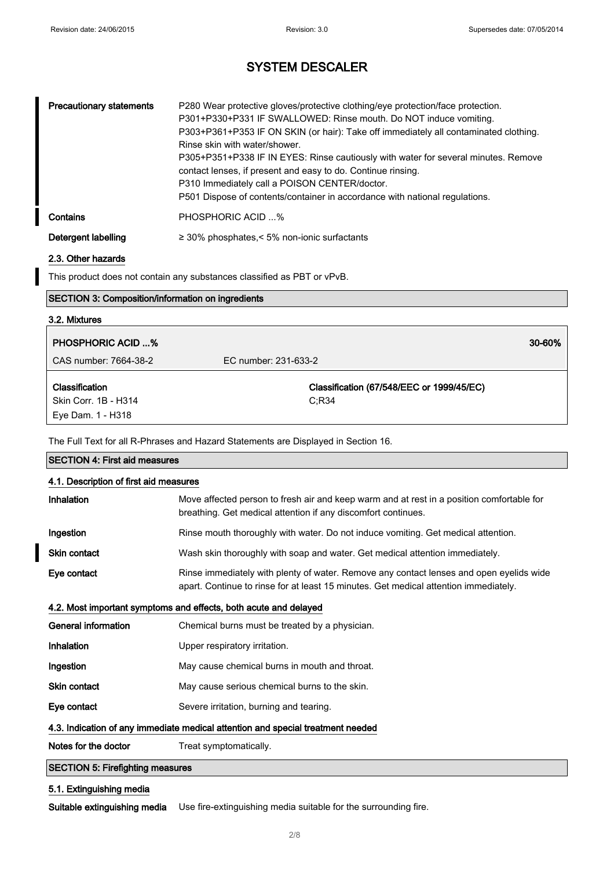| <b>Precautionary statements</b> | P280 Wear protective gloves/protective clothing/eye protection/face protection.<br>P301+P330+P331 IF SWALLOWED: Rinse mouth. Do NOT induce vomiting.<br>P303+P361+P353 IF ON SKIN (or hair): Take off immediately all contaminated clothing.<br>Rinse skin with water/shower.<br>P305+P351+P338 IF IN EYES: Rinse cautiously with water for several minutes. Remove<br>contact lenses, if present and easy to do. Continue rinsing.<br>P310 Immediately call a POISON CENTER/doctor.<br>P501 Dispose of contents/container in accordance with national regulations. |
|---------------------------------|---------------------------------------------------------------------------------------------------------------------------------------------------------------------------------------------------------------------------------------------------------------------------------------------------------------------------------------------------------------------------------------------------------------------------------------------------------------------------------------------------------------------------------------------------------------------|
| Contains                        | PHOSPHORIC ACID %                                                                                                                                                                                                                                                                                                                                                                                                                                                                                                                                                   |
| Detergent labelling             | $\geq$ 30% phosphates,< 5% non-ionic surfactants                                                                                                                                                                                                                                                                                                                                                                                                                                                                                                                    |

### 2.3. Other hazards

This product does not contain any substances classified as PBT or vPvB.

### SECTION 3: Composition/information on ingredients

# 3.2. Mixtures PHOSPHORIC ACID ...% 30-60% CAS number: 7664-38-2 EC number: 231-633-2 Classification Skin Corr. 1B - H314 Eye Dam. 1 - H318 Classification (67/548/EEC or 1999/45/EC) C;R34

The Full Text for all R-Phrases and Hazard Statements are Displayed in Section 16.

| <b>SECTION 4: First aid measures</b>                                            |                                                                                                                                                                                 |  |
|---------------------------------------------------------------------------------|---------------------------------------------------------------------------------------------------------------------------------------------------------------------------------|--|
| 4.1. Description of first aid measures                                          |                                                                                                                                                                                 |  |
| Inhalation                                                                      | Move affected person to fresh air and keep warm and at rest in a position comfortable for<br>breathing. Get medical attention if any discomfort continues.                      |  |
| Ingestion                                                                       | Rinse mouth thoroughly with water. Do not induce vomiting. Get medical attention.                                                                                               |  |
| <b>Skin contact</b>                                                             | Wash skin thoroughly with soap and water. Get medical attention immediately.                                                                                                    |  |
| Eye contact                                                                     | Rinse immediately with plenty of water. Remove any contact lenses and open eyelids wide<br>apart. Continue to rinse for at least 15 minutes. Get medical attention immediately. |  |
| 4.2. Most important symptoms and effects, both acute and delayed                |                                                                                                                                                                                 |  |
| General information                                                             | Chemical burns must be treated by a physician.                                                                                                                                  |  |
| Inhalation                                                                      | Upper respiratory irritation.                                                                                                                                                   |  |
| Ingestion                                                                       | May cause chemical burns in mouth and throat.                                                                                                                                   |  |
| <b>Skin contact</b>                                                             | May cause serious chemical burns to the skin.                                                                                                                                   |  |
| Eye contact                                                                     | Severe irritation, burning and tearing.                                                                                                                                         |  |
| 4.3. Indication of any immediate medical attention and special treatment needed |                                                                                                                                                                                 |  |
| Notes for the doctor                                                            | Treat symptomatically.                                                                                                                                                          |  |
| <b>SECTION 5: Firefighting measures</b>                                         |                                                                                                                                                                                 |  |

# 5.1. Extinguishing media

Suitable extinguishing media Use fire-extinguishing media suitable for the surrounding fire.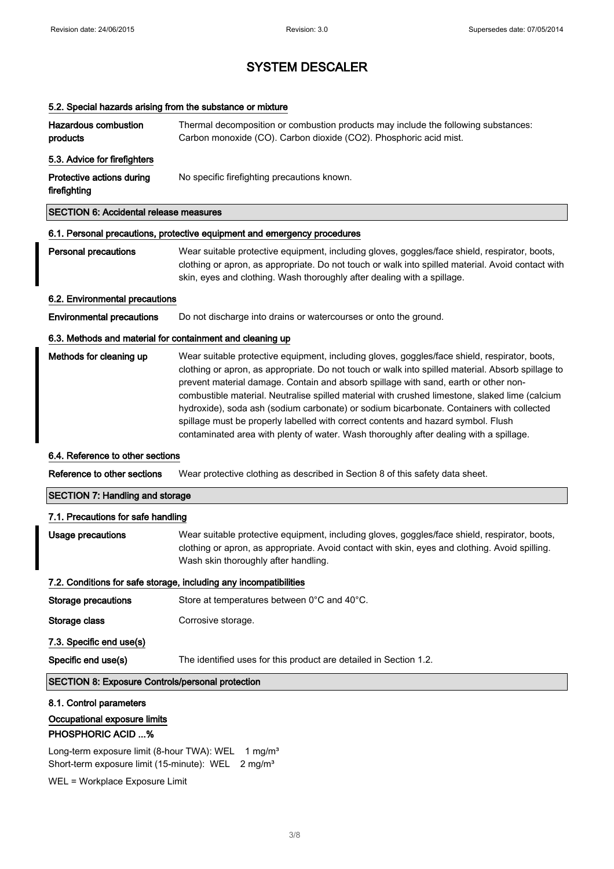# 5.2. Special hazards arising from the substance or mixture

| Hazardous combustion<br>products              | Thermal decomposition or combustion products may include the following substances:<br>Carbon monoxide (CO). Carbon dioxide (CO2). Phosphoric acid mist. |
|-----------------------------------------------|---------------------------------------------------------------------------------------------------------------------------------------------------------|
| 5.3. Advice for firefighters                  |                                                                                                                                                         |
| Protective actions during<br>firefighting     | No specific firefighting precautions known.                                                                                                             |
| <b>SECTION 6: Accidental release measures</b> |                                                                                                                                                         |

# 6.1. Personal precautions, protective equipment and emergency procedures

Personal precautions Wear suitable protective equipment, including gloves, goggles/face shield, respirator, boots, clothing or apron, as appropriate. Do not touch or walk into spilled material. Avoid contact with skin, eyes and clothing. Wash thoroughly after dealing with a spillage.

#### 6.2. Environmental precautions

Environmental precautions Do not discharge into drains or watercourses or onto the ground.

#### 6.3. Methods and material for containment and cleaning up

| Methods for cleaning up | Wear suitable protective equipment, including gloves, goggles/face shield, respirator, boots,     |
|-------------------------|---------------------------------------------------------------------------------------------------|
|                         | clothing or apron, as appropriate. Do not touch or walk into spilled material. Absorb spillage to |
|                         | prevent material damage. Contain and absorb spillage with sand, earth or other non-               |
|                         | combustible material. Neutralise spilled material with crushed limestone, slaked lime (calcium    |
|                         | hydroxide), soda ash (sodium carbonate) or sodium bicarbonate. Containers with collected          |
|                         | spillage must be properly labelled with correct contents and hazard symbol. Flush                 |
|                         | contaminated area with plenty of water. Wash thoroughly after dealing with a spillage.            |

#### 6.4. Reference to other sections

Reference to other sections Wear protective clothing as described in Section 8 of this safety data sheet.

#### SECTION 7: Handling and storage

| 7.1. Precautions for safe handling                                |                                                                                                                                                                                                                                         |  |
|-------------------------------------------------------------------|-----------------------------------------------------------------------------------------------------------------------------------------------------------------------------------------------------------------------------------------|--|
| Usage precautions                                                 | Wear suitable protective equipment, including gloves, goggles/face shield, respirator, boots,<br>clothing or apron, as appropriate. Avoid contact with skin, eyes and clothing. Avoid spilling.<br>Wash skin thoroughly after handling. |  |
| 7.2. Conditions for safe storage, including any incompatibilities |                                                                                                                                                                                                                                         |  |
| Storage precautions                                               | Store at temperatures between 0°C and 40°C.                                                                                                                                                                                             |  |
| Storage class                                                     | Corrosive storage.                                                                                                                                                                                                                      |  |
| 7.3. Specific end use(s)                                          |                                                                                                                                                                                                                                         |  |
| Specific end use(s)                                               | The identified uses for this product are detailed in Section 1.2.                                                                                                                                                                       |  |

#### SECTION 8: Exposure Controls/personal protection

#### 8.1. Control parameters

### Occupational exposure limits

### PHOSPHORIC ACID ...%

Long-term exposure limit (8-hour TWA): WEL 1 mg/m<sup>3</sup> Short-term exposure limit (15-minute): WEL 2 mg/m<sup>3</sup>

WEL = Workplace Exposure Limit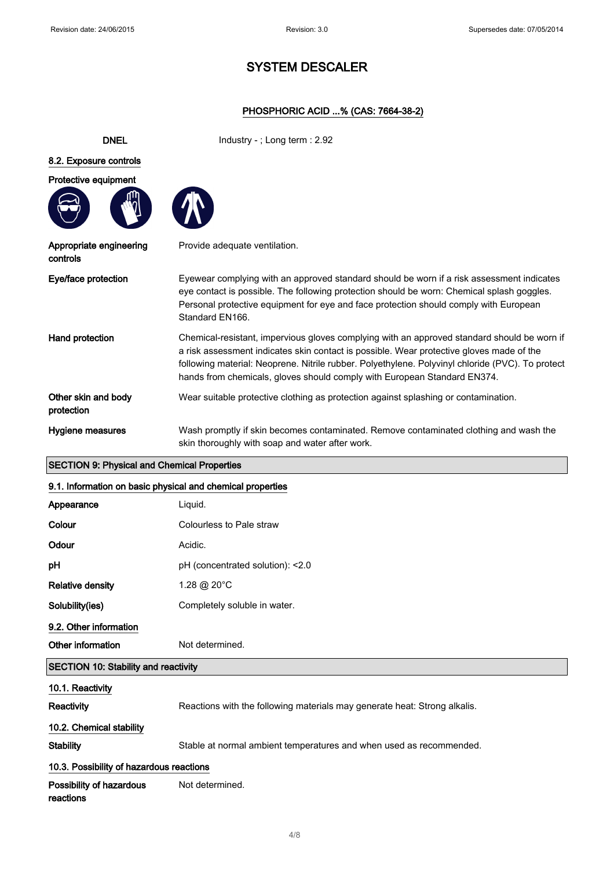# PHOSPHORIC ACID ...% (CAS: 7664-38-2)

| <b>DNEL</b>                         | Industry - $:$ Long term $:$ 2.92                                                                                                                                                                                                                                                                                                                                       |
|-------------------------------------|-------------------------------------------------------------------------------------------------------------------------------------------------------------------------------------------------------------------------------------------------------------------------------------------------------------------------------------------------------------------------|
| 8.2. Exposure controls              |                                                                                                                                                                                                                                                                                                                                                                         |
| Protective equipment                |                                                                                                                                                                                                                                                                                                                                                                         |
| Appropriate engineering<br>controls | Provide adequate ventilation.                                                                                                                                                                                                                                                                                                                                           |
| Eye/face protection                 | Eyewear complying with an approved standard should be worn if a risk assessment indicates<br>eye contact is possible. The following protection should be worn: Chemical splash goggles.<br>Personal protective equipment for eye and face protection should comply with European<br>Standard EN166.                                                                     |
| Hand protection                     | Chemical-resistant, impervious gloves complying with an approved standard should be worn if<br>a risk assessment indicates skin contact is possible. Wear protective gloves made of the<br>following material: Neoprene. Nitrile rubber. Polyethylene. Polyvinyl chloride (PVC). To protect<br>hands from chemicals, gloves should comply with European Standard EN374. |
| Other skin and body<br>protection   | Wear suitable protective clothing as protection against splashing or contamination.                                                                                                                                                                                                                                                                                     |
| Hygiene measures                    | Wash promptly if skin becomes contaminated. Remove contaminated clothing and wash the<br>skin thoroughly with soap and water after work.                                                                                                                                                                                                                                |

# SECTION 9: Physical and Chemical Properties

# 9.1. Information on basic physical and chemical properties

| Appearance              | Liquid.                          |
|-------------------------|----------------------------------|
| Colour                  | Colourless to Pale straw         |
| Odour                   | Acidic.                          |
| pH                      | pH (concentrated solution): <2.0 |
| <b>Relative density</b> | 1.28 @ 20°C                      |
| Solubility(ies)         | Completely soluble in water.     |
| 9.2. Other information  |                                  |
| Other information       | Not determined.                  |

# SECTION 10: Stability and reactivity

| 10.1. Reactivity                         |                                                                           |  |  |
|------------------------------------------|---------------------------------------------------------------------------|--|--|
| Reactivity                               | Reactions with the following materials may generate heat: Strong alkalis. |  |  |
| 10.2. Chemical stability                 |                                                                           |  |  |
| <b>Stability</b>                         | Stable at normal ambient temperatures and when used as recommended.       |  |  |
| 10.3. Possibility of hazardous reactions |                                                                           |  |  |
| Possibility of hazardous<br>reactions    | Not determined.                                                           |  |  |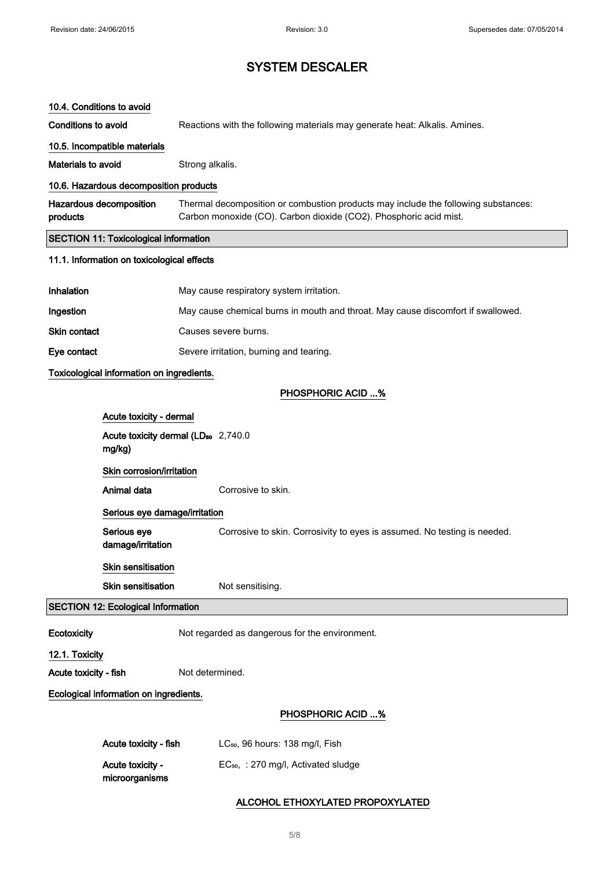| 10.4. Conditions to avoid                                 |                                                |                                                                                                                                                         |  |
|-----------------------------------------------------------|------------------------------------------------|---------------------------------------------------------------------------------------------------------------------------------------------------------|--|
| <b>Conditions to avoid</b>                                |                                                | Reactions with the following materials may generate heat: Alkalis. Amines.                                                                              |  |
|                                                           | 10.5. Incompatible materials                   |                                                                                                                                                         |  |
| Materials to avoid                                        |                                                | Strong alkalis.                                                                                                                                         |  |
|                                                           | 10.6. Hazardous decomposition products         |                                                                                                                                                         |  |
| products                                                  | Hazardous decomposition                        | Thermal decomposition or combustion products may include the following substances:<br>Carbon monoxide (CO). Carbon dioxide (CO2). Phosphoric acid mist. |  |
|                                                           | <b>SECTION 11: Toxicological information</b>   |                                                                                                                                                         |  |
|                                                           | 11.1. Information on toxicological effects     |                                                                                                                                                         |  |
| Inhalation                                                |                                                | May cause respiratory system irritation.                                                                                                                |  |
| Ingestion                                                 |                                                | May cause chemical burns in mouth and throat. May cause discomfort if swallowed.                                                                        |  |
| Skin contact                                              |                                                | Causes severe burns.                                                                                                                                    |  |
| Eye contact                                               |                                                | Severe irritation, burning and tearing.                                                                                                                 |  |
|                                                           | Toxicological information on ingredients.      |                                                                                                                                                         |  |
|                                                           |                                                | <b>PHOSPHORIC ACID %</b>                                                                                                                                |  |
|                                                           | Acute toxicity - dermal                        |                                                                                                                                                         |  |
| Acute toxicity dermal (LD <sub>50</sub> 2,740.0<br>mg/kg) |                                                |                                                                                                                                                         |  |
|                                                           | Skin corrosion/irritation                      |                                                                                                                                                         |  |
|                                                           | Animal data                                    | Corrosive to skin.                                                                                                                                      |  |
|                                                           | Serious eye damage/irritation                  |                                                                                                                                                         |  |
|                                                           | Serious eye<br>damage/irritation               | Corrosive to skin. Corrosivity to eyes is assumed. No testing is needed.                                                                                |  |
|                                                           | <b>Skin sensitisation</b>                      |                                                                                                                                                         |  |
|                                                           | <b>Skin sensitisation</b>                      | Not sensitising.                                                                                                                                        |  |
|                                                           | <b>SECTION 12: Ecological Information</b>      |                                                                                                                                                         |  |
| Ecotoxicity                                               | Not regarded as dangerous for the environment. |                                                                                                                                                         |  |
| 12.1. Toxicity                                            |                                                |                                                                                                                                                         |  |
| Acute toxicity - fish<br>Not determined.                  |                                                |                                                                                                                                                         |  |
| Ecological information on ingredients.                    |                                                |                                                                                                                                                         |  |
|                                                           |                                                | <b>PHOSPHORIC ACID %</b>                                                                                                                                |  |
|                                                           | Acute toxicity - fish                          | LC <sub>50</sub> , 96 hours: 138 mg/l, Fish                                                                                                             |  |
|                                                           | Acute toxicity -<br>microorganisms             | EC <sub>50</sub> , : 270 mg/l, Activated sludge                                                                                                         |  |

# ALCOHOL ETHOXYLATED PROPOXYLATED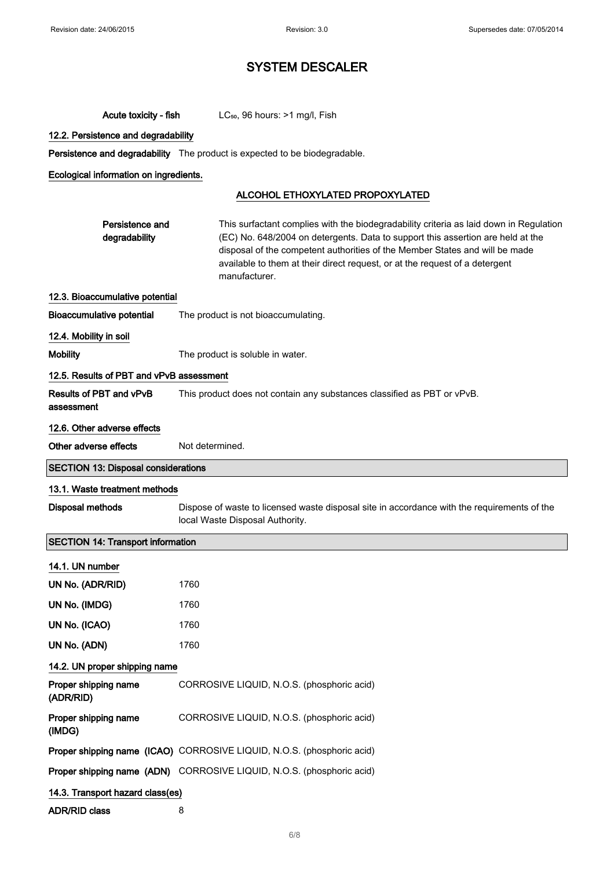| Acute toxicity - fish                      | LC <sub>50</sub> , 96 hours: >1 mg/l, Fish                                                                                                                                                                                                                                                                                                               |  |  |
|--------------------------------------------|----------------------------------------------------------------------------------------------------------------------------------------------------------------------------------------------------------------------------------------------------------------------------------------------------------------------------------------------------------|--|--|
| 12.2. Persistence and degradability        |                                                                                                                                                                                                                                                                                                                                                          |  |  |
|                                            | Persistence and degradability The product is expected to be biodegradable.                                                                                                                                                                                                                                                                               |  |  |
| Ecological information on ingredients.     |                                                                                                                                                                                                                                                                                                                                                          |  |  |
|                                            | ALCOHOL ETHOXYLATED PROPOXYLATED                                                                                                                                                                                                                                                                                                                         |  |  |
| Persistence and<br>degradability           | This surfactant complies with the biodegradability criteria as laid down in Regulation<br>(EC) No. 648/2004 on detergents. Data to support this assertion are held at the<br>disposal of the competent authorities of the Member States and will be made<br>available to them at their direct request, or at the request of a detergent<br>manufacturer. |  |  |
| 12.3. Bioaccumulative potential            |                                                                                                                                                                                                                                                                                                                                                          |  |  |
| <b>Bioaccumulative potential</b>           | The product is not bioaccumulating.                                                                                                                                                                                                                                                                                                                      |  |  |
| 12.4. Mobility in soil                     |                                                                                                                                                                                                                                                                                                                                                          |  |  |
| <b>Mobility</b>                            | The product is soluble in water.                                                                                                                                                                                                                                                                                                                         |  |  |
| 12.5. Results of PBT and vPvB assessment   |                                                                                                                                                                                                                                                                                                                                                          |  |  |
| Results of PBT and vPvB<br>assessment      | This product does not contain any substances classified as PBT or vPvB.                                                                                                                                                                                                                                                                                  |  |  |
| 12.6. Other adverse effects                |                                                                                                                                                                                                                                                                                                                                                          |  |  |
| Other adverse effects                      | Not determined.                                                                                                                                                                                                                                                                                                                                          |  |  |
| <b>SECTION 13: Disposal considerations</b> |                                                                                                                                                                                                                                                                                                                                                          |  |  |
|                                            |                                                                                                                                                                                                                                                                                                                                                          |  |  |
| 13.1. Waste treatment methods              |                                                                                                                                                                                                                                                                                                                                                          |  |  |
| <b>Disposal methods</b>                    | Dispose of waste to licensed waste disposal site in accordance with the requirements of the<br>local Waste Disposal Authority.                                                                                                                                                                                                                           |  |  |
| <b>SECTION 14: Transport information</b>   |                                                                                                                                                                                                                                                                                                                                                          |  |  |
| 14.1. UN number                            |                                                                                                                                                                                                                                                                                                                                                          |  |  |
| UN No. (ADR/RID)                           | 1760                                                                                                                                                                                                                                                                                                                                                     |  |  |
| UN No. (IMDG)                              | 1760                                                                                                                                                                                                                                                                                                                                                     |  |  |
| UN No. (ICAO)                              | 1760                                                                                                                                                                                                                                                                                                                                                     |  |  |
| UN No. (ADN)                               | 1760                                                                                                                                                                                                                                                                                                                                                     |  |  |
| 14.2. UN proper shipping name              |                                                                                                                                                                                                                                                                                                                                                          |  |  |
| Proper shipping name<br>(ADR/RID)          | CORROSIVE LIQUID, N.O.S. (phosphoric acid)                                                                                                                                                                                                                                                                                                               |  |  |
| Proper shipping name<br>(IMDG)             | CORROSIVE LIQUID, N.O.S. (phosphoric acid)                                                                                                                                                                                                                                                                                                               |  |  |
|                                            | Proper shipping name (ICAO) CORROSIVE LIQUID, N.O.S. (phosphoric acid)                                                                                                                                                                                                                                                                                   |  |  |
|                                            | Proper shipping name (ADN) CORROSIVE LIQUID, N.O.S. (phosphoric acid)                                                                                                                                                                                                                                                                                    |  |  |
| 14.3. Transport hazard class(es)           |                                                                                                                                                                                                                                                                                                                                                          |  |  |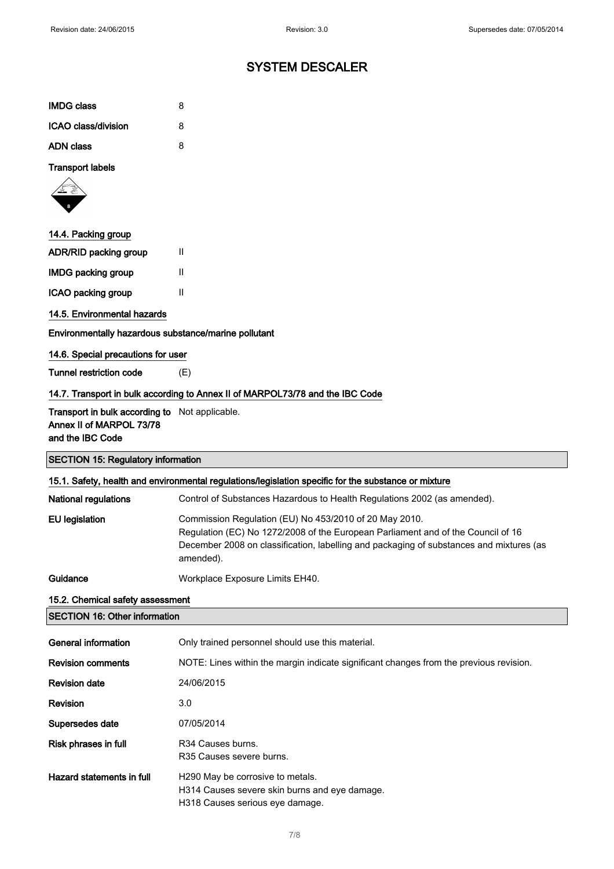| <b>IMDG class</b>   | 8 |
|---------------------|---|
| ICAO class/division | 8 |
| <b>ADN class</b>    | 8 |

Transport labels



| 14.4. Packing group       |   |
|---------------------------|---|
| ADR/RID packing group     | Ш |
| <b>IMDG packing group</b> | Ш |
| ICAO packing group        | Ш |

14.5. Environmental hazards

Environmentally hazardous substance/marine pollutant

#### 14.6. Special precautions for user

Tunnel restriction code (E)

### 14.7. Transport in bulk according to Annex II of MARPOL73/78 and the IBC Code

#### Transport in bulk according to Not applicable. Annex II of MARPOL 73/78 and the IBC Code

SECTION 15: Regulatory information 15.1. Safety, health and environmental regulations/legislation specific for the substance or mixture National regulations Control of Substances Hazardous to Health Regulations 2002 (as amended). EU legislation Commission Regulation (EU) No 453/2010 of 20 May 2010. Regulation (EC) No 1272/2008 of the European Parliament and of the Council of 16 December 2008 on classification, labelling and packaging of substances and mixtures (as amended). Guidance Workplace Exposure Limits EH40. 15.2. Chemical safety assessment SECTION 16: Other information

| General information       | Only trained personnel should use this material.                                                                     |
|---------------------------|----------------------------------------------------------------------------------------------------------------------|
| <b>Revision comments</b>  | NOTE: Lines within the margin indicate significant changes from the previous revision.                               |
| <b>Revision date</b>      | 24/06/2015                                                                                                           |
| Revision                  | 3.0                                                                                                                  |
| Supersedes date           | 07/05/2014                                                                                                           |
| Risk phrases in full      | R <sub>34</sub> Causes burns.<br>R <sub>35</sub> Causes severe burns.                                                |
| Hazard statements in full | H290 May be corrosive to metals.<br>H314 Causes severe skin burns and eye damage.<br>H318 Causes serious eye damage. |